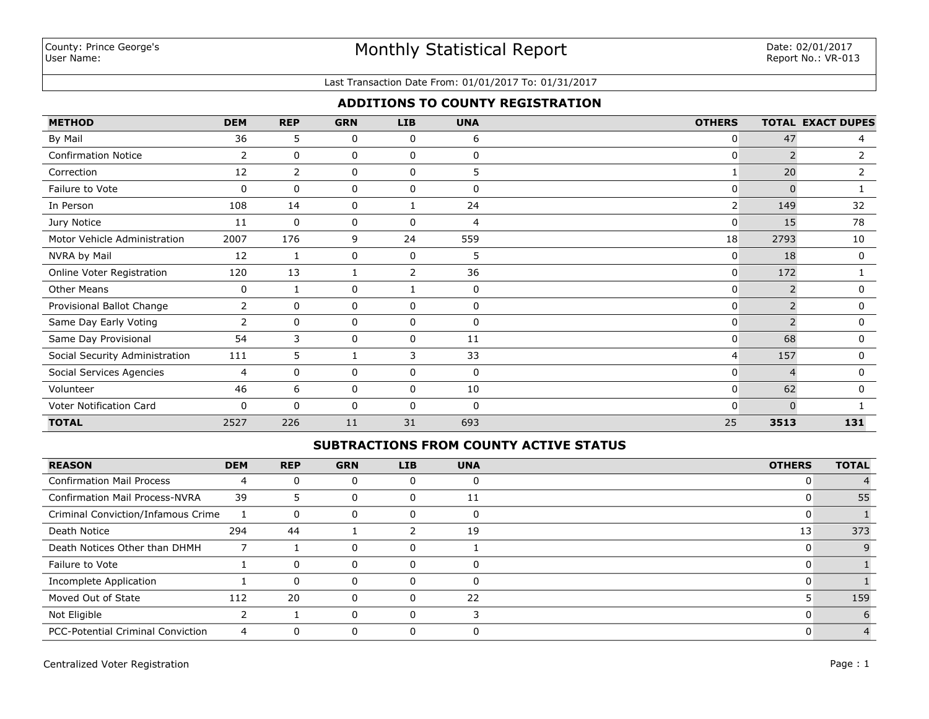### Last Transaction Date From: 01/01/2017 To: 01/31/2017

## **ADDITIONS TO COUNTY REGISTRATION**

| <b>METHOD</b>                  | <b>DEM</b> | <b>REP</b>     | <b>GRN</b> | <b>LIB</b>  | <b>UNA</b>   | <b>OTHERS</b>  |              | <b>TOTAL EXACT DUPES</b> |
|--------------------------------|------------|----------------|------------|-------------|--------------|----------------|--------------|--------------------------|
| By Mail                        | 36         | 5              | 0          | 0           | 6            | $\mathbf{0}$   | 47           | 4                        |
| <b>Confirmation Notice</b>     | 2          | 0              | 0          | 0           | 0            | 0              |              | 2                        |
| Correction                     | 12         | $\overline{2}$ | 0          | $\mathbf 0$ | 5            |                | 20           | 2                        |
| Failure to Vote                | 0          | 0              | 0          | 0           | $\Omega$     | $\Omega$       | <sup>0</sup> |                          |
| In Person                      | 108        | 14             | 0          |             | 24           | $\overline{2}$ | 149          | 32                       |
| Jury Notice                    | 11         | 0              | 0          | 0           | 4            | $\overline{0}$ | 15           | 78                       |
| Motor Vehicle Administration   | 2007       | 176            | 9          | 24          | 559          | 18             | 2793         | 10                       |
| NVRA by Mail                   | 12         | 1              | 0          | 0           | 5            | $\overline{0}$ | 18           | $\mathbf{0}$             |
| Online Voter Registration      | 120        | 13             |            | 2           | 36           | $\overline{0}$ | 172          |                          |
| <b>Other Means</b>             | 0          |                | 0          |             | 0            | $\mathbf{0}$   |              | 0                        |
| Provisional Ballot Change      | 2          | 0              | 0          | $\mathbf 0$ | $\mathbf{0}$ | $\mathbf{0}$   |              | 0                        |
| Same Day Early Voting          | 2          | 0              | 0          | 0           | $\Omega$     | $\Omega$       |              | 0                        |
| Same Day Provisional           | 54         | 3              | $\Omega$   | $\Omega$    | 11           | $\Omega$       | 68           | $\mathbf{0}$             |
| Social Security Administration | 111        | 5              |            | 3           | 33           | 4              | 157          | 0                        |
| Social Services Agencies       | 4          | 0              | 0          | 0           | 0            | $\mathbf{0}$   | 4            | 0                        |
| Volunteer                      | 46         | 6              | 0          | 0           | 10           | $\overline{0}$ | 62           | $\Omega$                 |
| Voter Notification Card        | 0          | $\Omega$       | 0          | 0           | $\Omega$     | $\Omega$       | $\Omega$     |                          |
| <b>TOTAL</b>                   | 2527       | 226            | 11         | 31          | 693          | 25             | 3513         | 131                      |

### **SUBTRACTIONS FROM COUNTY ACTIVE STATUS**

| <b>REASON</b>                            | <b>DEM</b> | <b>REP</b> | <b>GRN</b> | <b>LIB</b> | <b>UNA</b> | <b>OTHERS</b> | <b>TOTAL</b> |
|------------------------------------------|------------|------------|------------|------------|------------|---------------|--------------|
| <b>Confirmation Mail Process</b>         | 4          |            |            |            |            |               |              |
| <b>Confirmation Mail Process-NVRA</b>    | 39         | 5          |            |            | 11         |               | 55           |
| Criminal Conviction/Infamous Crime       |            | $\Omega$   | U          |            | 0          |               |              |
| Death Notice                             | 294        | 44         |            |            | 19         | 13            | 373          |
| Death Notices Other than DHMH            |            |            | $\Omega$   | U          |            |               |              |
| Failure to Vote                          |            | $\Omega$   |            |            |            |               |              |
| Incomplete Application                   |            | 0          |            |            | $\Omega$   |               |              |
| Moved Out of State                       | 112        | 20         |            |            | 22         |               | 159          |
| Not Eligible                             |            |            |            |            |            |               |              |
| <b>PCC-Potential Criminal Conviction</b> | 4          | $\Omega$   |            |            |            |               |              |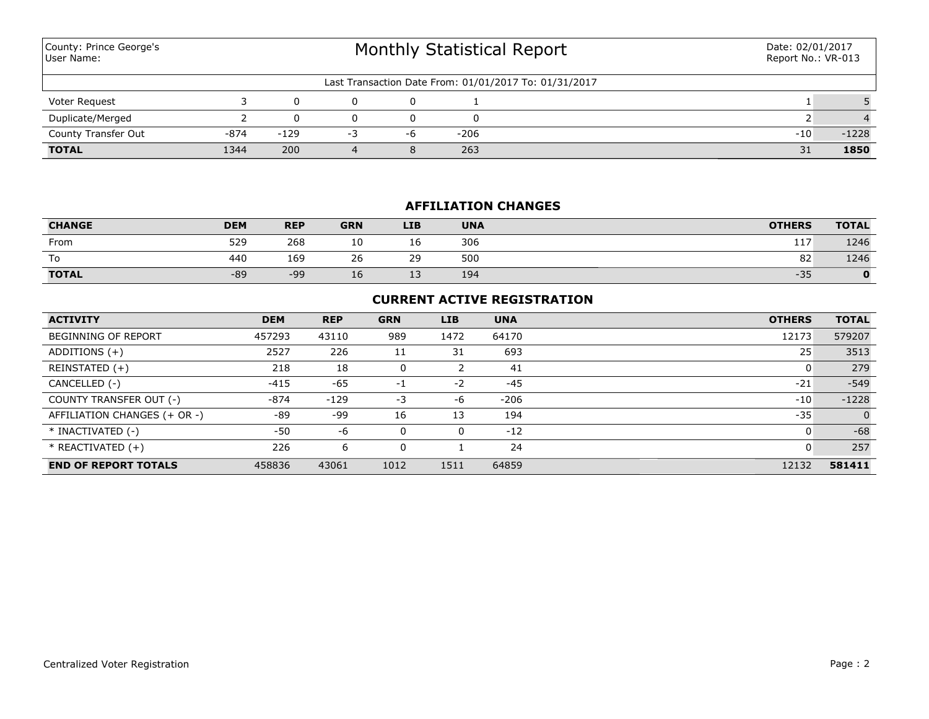| County: Prince George's<br>User Name: |        |        | Monthly Statistical Report | Date: 02/01/2017<br>Report No.: VR-013 |      |                                                       |       |         |
|---------------------------------------|--------|--------|----------------------------|----------------------------------------|------|-------------------------------------------------------|-------|---------|
|                                       |        |        |                            |                                        |      | Last Transaction Date From: 01/01/2017 To: 01/31/2017 |       |         |
| Voter Request                         |        |        |                            |                                        |      |                                                       |       |         |
| Duplicate/Merged                      |        |        |                            |                                        |      |                                                       |       |         |
| County Transfer Out                   | $-874$ | $-129$ | -3                         | -6                                     | -206 |                                                       | $-10$ | $-1228$ |
| <b>TOTAL</b>                          | 1344   | 200    |                            | 8                                      | 263  |                                                       | 31    | 1850    |

# **AFFILIATION CHANGES**

| <b>CHANGE</b> | <b>DEM</b> | <b>REP</b> | <b>GRN</b> | <b>LIB</b> | <b>UNA</b> | <b>OTHERS</b> | <b>TOTAL</b> |
|---------------|------------|------------|------------|------------|------------|---------------|--------------|
| From          | 529        | 268        | 10         | 16         | 306        | 117           | 1246         |
| To            | 440        | 169        | 26         | 29         | 500        | 82            | 1246         |
| <b>TOTAL</b>  | $-89$      | $-99$      | Τp         | 12<br>ᅩ    | 194        | $-35$         | 0            |

## **CURRENT ACTIVE REGISTRATION**

| <b>ACTIVITY</b>              | <b>DEM</b> | <b>REP</b> | <b>GRN</b> | <b>LIB</b> | <b>UNA</b> | <b>OTHERS</b> | <b>TOTAL</b>   |
|------------------------------|------------|------------|------------|------------|------------|---------------|----------------|
| <b>BEGINNING OF REPORT</b>   | 457293     | 43110      | 989        | 1472       | 64170      | 12173         | 579207         |
| ADDITIONS $(+)$              | 2527       | 226        | 11         | 31         | 693        | 25            | 3513           |
| REINSTATED (+)               | 218        | 18         |            |            | 41         |               | 279            |
| CANCELLED (-)                | $-415$     | $-65$      | $-1$       | $-2$       | $-45$      | $-21$         | $-549$         |
| COUNTY TRANSFER OUT (-)      | $-874$     | $-129$     | -3         | -6         | $-206$     | $-10$         | $-1228$        |
| AFFILIATION CHANGES (+ OR -) | -89        | -99        | 16         | 13         | 194        | $-35$         | $\overline{0}$ |
| * INACTIVATED (-)            | -50        | -6         |            | 0          | $-12$      |               | $-68$          |
| $*$ REACTIVATED $(+)$        | 226        | 6          |            |            | 24         |               | 257            |
| <b>END OF REPORT TOTALS</b>  | 458836     | 43061      | 1012       | 1511       | 64859      | 12132         | 581411         |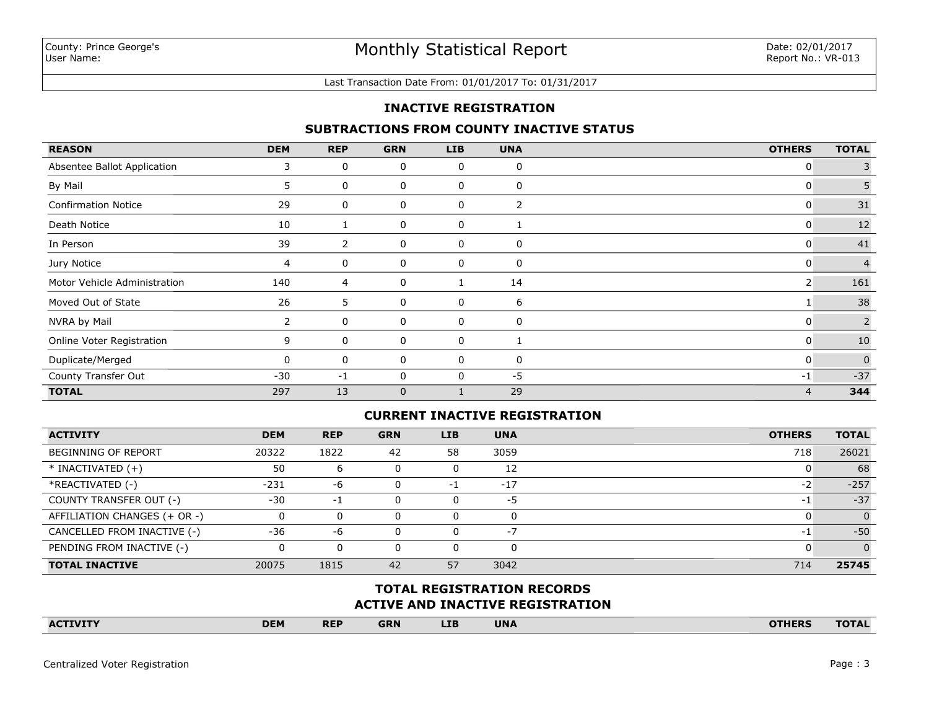#### Last Transaction Date From: 01/01/2017 To: 01/31/2017

## **INACTIVE REGISTRATION**

## **SUBTRACTIONS FROM COUNTY INACTIVE STATUS**

| <b>REASON</b>                | <b>DEM</b>            | <b>REP</b>     | <b>GRN</b>  | <b>LIB</b> | <b>UNA</b>     | <b>OTHERS</b>  | <b>TOTAL</b>   |
|------------------------------|-----------------------|----------------|-------------|------------|----------------|----------------|----------------|
| Absentee Ballot Application  | 3                     | 0              | 0           | 0          | 0              | 0              | 3              |
| By Mail                      | 5.                    | 0              | 0           | 0          | 0              | $\mathbf{0}$   | 5              |
| <b>Confirmation Notice</b>   | 29                    | 0              | 0           | 0          | $\overline{2}$ | 0              | $31\,$         |
| Death Notice                 | 10                    |                | 0           | 0          |                | 0              | $12$           |
| In Person                    | 39                    | $\overline{2}$ | 0           | 0          | 0              | $\mathbf{0}$   | 41             |
| Jury Notice                  | 4                     | 0              | 0           | 0          | 0              | 0              | $\overline{4}$ |
| Motor Vehicle Administration | 140                   | 4              | 0           |            | 14             | $\overline{2}$ | 161            |
| Moved Out of State           | 26                    | 5              | 0           | 0          | 6              |                | 38             |
| NVRA by Mail                 | $\mathbf{2}^{\prime}$ | 0              | 0           | 0          | 0              | $\mathbf{0}$   | $\overline{2}$ |
| Online Voter Registration    | 9                     | 0              | 0           | 0          |                | 0              | 10             |
| Duplicate/Merged             | 0                     | 0              | 0           | 0          | 0              | $\mathbf{0}$   | $\Omega$       |
| County Transfer Out          | $-30$                 | $-1$           | 0           | $\Omega$   | $-5$           | $-1$           | $-37$          |
| <b>TOTAL</b>                 | 297                   | 13             | $\mathbf 0$ |            | 29             | $\overline{4}$ | 344            |

### **CURRENT INACTIVE REGISTRATION**

| <b>ACTIVITY</b>              | <b>DEM</b> | <b>REP</b> | <b>GRN</b>   | LIB | <b>UNA</b> | <b>OTHERS</b>            | <b>TOTAL</b> |
|------------------------------|------------|------------|--------------|-----|------------|--------------------------|--------------|
| <b>BEGINNING OF REPORT</b>   | 20322      | 1822       | 42           | 58  | 3059       | 718                      | 26021        |
| $*$ INACTIVATED $(+)$        | 50         | ь          |              |     | 12         |                          | 68           |
| *REACTIVATED (-)             | $-231$     | -6         | $\Omega$     | - 1 | $-17$      | $\overline{\phantom{a}}$ | $-257$       |
| COUNTY TRANSFER OUT (-)      | $-30$      | -1         | 0            |     | $-5$       | - 1                      | $-37$        |
| AFFILIATION CHANGES (+ OR -) |            |            | 0            | 0   |            |                          | $\Omega$     |
| CANCELLED FROM INACTIVE (-)  | $-36$      | -6         | <sup>0</sup> | 0   | -7         | $-1$                     | $-50$        |
| PENDING FROM INACTIVE (-)    |            |            | <sup>n</sup> | 0   |            |                          |              |
| <b>TOTAL INACTIVE</b>        | 20075      | 1815       | 42           | 57  | 3042       | 714                      | 25745        |

## **ACTIVE AND INACTIVE REGISTRATION TOTAL REGISTRATION RECORDS**

| <b>DEM</b><br><b>UNA</b><br><b>LIB</b><br><b>REP</b><br><b>OTHERS</b><br><b>GRN</b><br><b>ACTIVITY</b><br><b>TOTAL</b> |
|------------------------------------------------------------------------------------------------------------------------|
|------------------------------------------------------------------------------------------------------------------------|